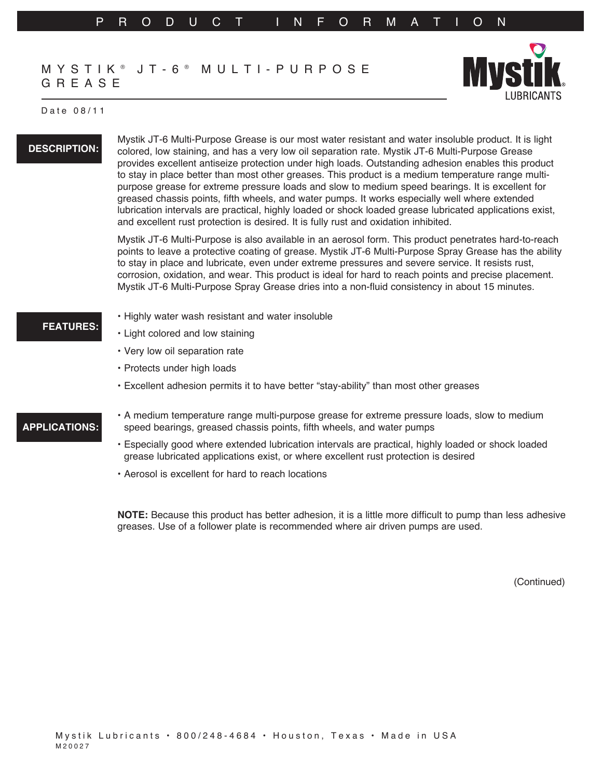## MYSTIK ® JT-6 ® MULTI-PURPOSE GREASE



#### Date 08/11

### **DESCRIPTION:**

Mystik JT-6 Multi-Purpose Grease is our most water resistant and water insoluble product. It is light colored, low staining, and has a very low oil separation rate. Mystik JT-6 Multi-Purpose Grease provides excellent antiseize protection under high loads. Outstanding adhesion enables this product to stay in place better than most other greases. This product is a medium temperature range multipurpose grease for extreme pressure loads and slow to medium speed bearings. It is excellent for greased chassis points, fifth wheels, and water pumps. It works especially well where extended lubrication intervals are practical, highly loaded or shock loaded grease lubricated applications exist, and excellent rust protection is desired. It is fully rust and oxidation inhibited.

Mystik JT-6 Multi-Purpose is also available in an aerosol form. This product penetrates hard-to-reach points to leave a protective coating of grease. Mystik JT-6 Multi-Purpose Spray Grease has the ability to stay in place and lubricate, even under extreme pressures and severe service. It resists rust, corrosion, oxidation, and wear. This product is ideal for hard to reach points and precise placement. Mystik JT-6 Multi-Purpose Spray Grease dries into a non-fluid consistency in about 15 minutes.

- Highly water wash resistant and water insoluble
	- • Light colored and low staining
- • Very low oil separation rate
- Protects under high loads
- • Excellent adhesion permits it to have better "stay-ability" than most other greases

## **APPLICATIONS:**

**FEATURES:**

- • A medium temperature range multi-purpose grease for extreme pressure loads, slow to medium speed bearings, greased chassis points, fifth wheels, and water pumps
- • Especially good where extended lubrication intervals are practical, highly loaded or shock loaded grease lubricated applications exist, or where excellent rust protection is desired
- Aerosol is excellent for hard to reach locations

**NOTE:** Because this product has better adhesion, it is a little more difficult to pump than less adhesive greases. Use of a follower plate is recommended where air driven pumps are used.

(Continued)